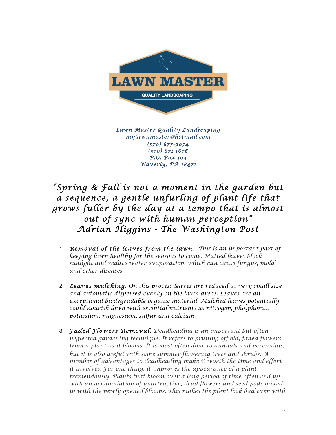

*Lawn Master Quality Landscaping mylawnmaster@hotmail.com (570) 877-9074 (570) 871-1676 P.O. Box 103 Waverly, PA 18471*

## *"Spring & Fall is not a moment in the garden but a sequence, a gentle unfurling of plant life that grows fuller by the day at a tempo that is almost out of sync with human perception" Adrian Higgins - The Washington Post*

- 1. *Removal of the leaves from the lawn. This is an important part of keeping lawn healthy for the seasons to come. Matted leaves block sunlight and reduce water evaporation, which can cause fungus, mold and other diseases.*
- 2. *Leaves mulching. On this process leaves are reduced at very small size and automatic dispersed evenly on the lawn areas. Leaves are an exceptional biodegradable organic material. Mulched leaves potentially could nourish lawn with essential nutrients as nitrogen, phosphorus, potassium, magnesium, sulfur and calcium.*
- 3. *Faded Flowers Removal. Deadheading is an important but often neglected gardening technique. It refers to pruning off old, faded flowers from a plant as it blooms. It is most often done to annuals and perennials, but it is also useful with some summer-flowering trees and shrubs*. *A number of advantages to deadheading make it worth the time and effort it involves. For one thing, it improves the appearance of a plant tremendously. Plants that bloom over a long period of time often end up with an accumulation of unattractive, dead flowers and seed pods mixed in with the newly opened blooms. This makes the plant look bad even with*